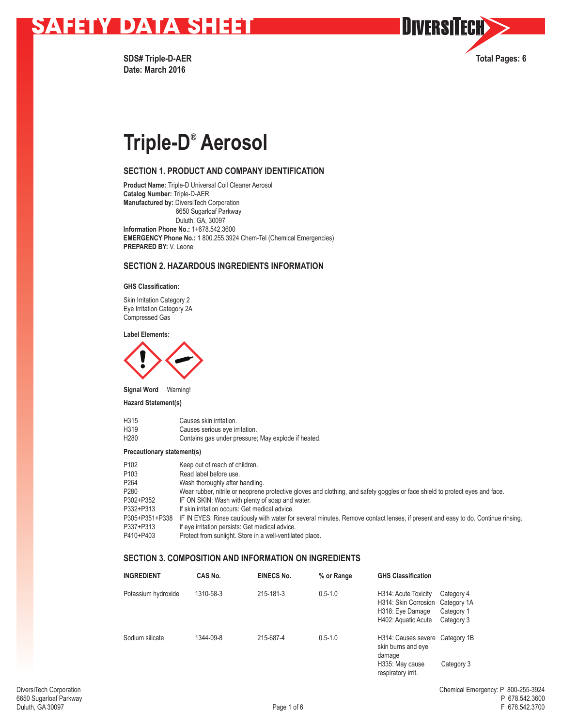

**Date: March 2016**



# **Triple-D® Aerosol**

## **SECTION 1. PRODUCT AND COMPANY IDENTIFICATION**

**Product Name:** Triple-D Universal Coil Cleaner Aerosol **Catalog Number:** Triple-D-AER **Manufactured by:** DiversiTech Corporation 6650 Sugarloaf Parkway Duluth, GA, 30097 **Information Phone No.:** 1+678.542.3600 **EMERGENCY Phone No.:** 1 800.255.3924 Chem-Tel (Chemical Emergencies) **PREPARED BY:** V. Leone

## **SECTION 2. HAZARDOUS INGREDIENTS INFORMATION**

#### **GHS Classification:**

Skin Irritation Category 2 Eye Irritation Category 2A Compressed Gas

### **Label Elements:**



**Signal Word** Warning!

#### **Hazard Statement(s)**

| H315 | Causes skin irritation.                             |
|------|-----------------------------------------------------|
| H319 | Causes serious eye irritation.                      |
| H280 | Contains gas under pressure; May explode if heated. |

### **Precautionary statement(s)**

| P <sub>102</sub> | Keep out of reach of children.                                                                                                   |
|------------------|----------------------------------------------------------------------------------------------------------------------------------|
| P <sub>103</sub> | Read label before use.                                                                                                           |
| P <sub>264</sub> | Wash thoroughly after handling.                                                                                                  |
| P <sub>280</sub> | Wear rubber, nitrile or neoprene protective gloves and clothing, and safety goggles or face shield to protect eyes and face.     |
| P302+P352        | IF ON SKIN: Wash with plenty of soap and water.                                                                                  |
| P332+P313        | If skin irritation occurs: Get medical advice.                                                                                   |
| P305+P351+P338   | IF IN EYES: Rinse cautiously with water for several minutes. Remove contact lenses, if present and easy to do. Continue rinsing. |
| P337+P313        | If eye irritation persists: Get medical advice.                                                                                  |
| P410+P403        | Protect from sunlight. Store in a well-ventilated place.                                                                         |

## **SECTION 3. COMPOSITION AND INFORMATION ON INGREDIENTS**

| <b>INGREDIENT</b>   | CAS No.   | <b>EINECS No.</b> | % or Range  | <b>GHS Classification</b>                                                               |                                                       |
|---------------------|-----------|-------------------|-------------|-----------------------------------------------------------------------------------------|-------------------------------------------------------|
| Potassium hydroxide | 1310-58-3 | 215-181-3         | $0.5 - 1.0$ | H314: Acute Toxicity<br>H314: Skin Corrosion<br>H318: Eye Damage<br>H402: Aquatic Acute | Category 4<br>Category 1A<br>Category 1<br>Category 3 |
| Sodium silicate     | 1344-09-8 | 215-687-4         | $0.5 - 1.0$ | H314: Causes severe Category 1B<br>skin burns and eye<br>damage<br>H335: May cause      | Category 3                                            |

respiratory irrit.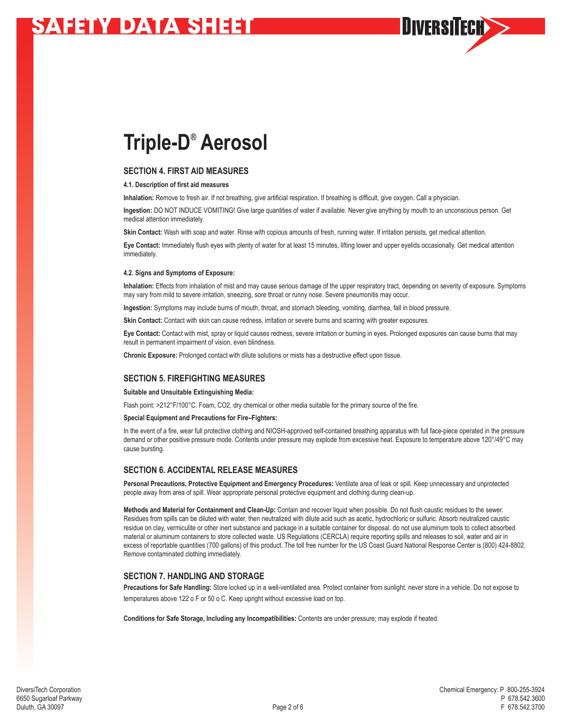

## **SECTION 4. FIRST AID MEASURES**

#### **4.1. Description of first aid measures**

**Inhalation:** Remove to fresh air. If not breathing, give artificial respiration. If breathing is difficult, give oxygen. Call a physician.

**Ingestion:** DO NOT INDUCE VOMITING! Give large quantities of water if available. Never give anything by mouth to an unconscious person. Get medical attention immediately.

**Skin Contact:** Wash with soap and water. Rinse with copious amounts of fresh, running water. If irritation persists, get medical attention.

**Eye Contact:** Immediately flush eyes with plenty of water for at least 15 minutes, lifting lower and upper eyelids occasionally. Get medical attention immediately.

#### **4.2. Signs and Symptoms of Exposure:**

**Inhalation:** Effects from inhalation of mist and may cause serious damage of the upper respiratory tract, depending on severity of exposure. Symptoms may vary from mild to severe irritation, sneezing, sore throat or runny nose. Severe pneumonitis may occur.

**Ingestion:** Symptoms may include burns of mouth, throat, and stomach bleeding, vomiting, diarrhea, fall in blood pressure.

**Skin Contact:** Contact with skin can cause redness, irritation or severe burns and scarring with greater exposures.

**Eye Contact:** Contact with mist, spray or liquid causes redness, severe irritation or burning in eyes. Prolonged exposures can cause burns that may result in permanent impairment of vision, even blindness.

**Chronic Exposure:** Prolonged contact with dilute solutions or mists has a destructive effect upon tissue.

### **SECTION 5. FIREFIGHTING MEASURES**

#### **Suitable and Unsuitable Extinguishing Media:**

Flash point: >212°F/100°C. Foam, CO2, dry chemical or other media suitable for the primary source of the fire.

#### **Special Equipment and Precautions for Fire–Fighters:**

In the event of a fire, wear full protective clothing and NIOSH-approved self-contained breathing apparatus with full face-piece operated in the pressure demand or other positive pressure mode. Contents under pressure may explode from excessive heat. Exposure to temperature above 120°/49°C may cause bursting.

### **SECTION 6. ACCIDENTAL RELEASE MEASURES**

**Personal Precautions, Protective Equipment and Emergency Procedures:** Ventilate area of leak or spill. Keep unnecessary and unprotected people away from area of spill. Wear appropriate personal protective equipment and clothing during clean-up.

**Methods and Material for Containment and Clean-Up:** Contain and recover liquid when possible. Do not flush caustic residues to the sewer. Residues from spills can be diluted with water, then neutralized with dilute acid such as acetic, hydrochloric or sulfuric. Absorb neutralized caustic residue on clay, vermiculite or other inert substance and package in a suitable container for disposal. do not use aluminum tools to collect absorbed material or aluminum containers to store collected waste. US Regulations (CERCLA) require reporting spills and releases to soil, water and air in excess of reportable quantities (700 gallons) of this product. The toll free number for the US Coast Guard National Response Center is (800) 424-8802. Remove contaminated clothing immediately.

### **SECTION 7. HANDLING AND STORAGE**

**Precautions for Safe Handling:** Store locked up in a well-ventilated area. Protect container from sunlight. never store in a vehicle. Do not expose to temperatures above 122 o F or 50 o C. Keep upright without excessive load on top.

**Conditions for Safe Storage, Including any Incompatibilities:** Contents are under pressure; may explode if heated.

**DIVERSITECH>>**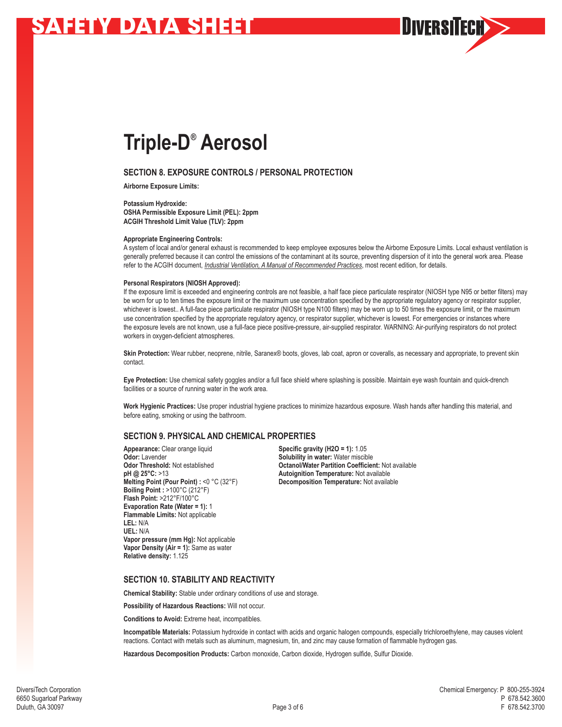

# **Triple-D® Aerosol**

## **SECTION 8. EXPOSURE CONTROLS / PERSONAL PROTECTION**

**Airborne Exposure Limits:**

**Potassium Hydroxide: OSHA Permissible Exposure Limit (PEL): 2ppm ACGIH Threshold Limit Value (TLV): 2ppm**

#### **Appropriate Engineering Controls:**

A system of local and/or general exhaust is recommended to keep employee exposures below the Airborne Exposure Limits. Local exhaust ventilation is generally preferred because it can control the emissions of the contaminant at its source, preventing dispersion of it into the general work area. Please refer to the ACGIH document, *Industrial Ventilation, A Manual of Recommended Practices*, most recent edition, for details.

#### **Personal Respirators (NIOSH Approved):**

If the exposure limit is exceeded and engineering controls are not feasible, a half face piece particulate respirator (NIOSH type N95 or better filters) may be worn for up to ten times the exposure limit or the maximum use concentration specified by the appropriate requlatory agency or respirator supplier, whichever is lowest.. A full-face piece particulate respirator (NIOSH type N100 filters) may be worn up to 50 times the exposure limit, or the maximum use concentration specified by the appropriate regulatory agency, or respirator supplier, whichever is lowest. For emergencies or instances where the exposure levels are not known, use a full-face piece positive-pressure, air-supplied respirator. WARNING: Air-purifying respirators do not protect workers in oxygen-deficient atmospheres.

**Skin Protection:** Wear rubber, neoprene, nitrile, Saranex® boots, gloves, lab coat, apron or coveralls, as necessary and appropriate, to prevent skin contact.

**Eye Protection:** Use chemical safety goggles and/or a full face shield where splashing is possible. Maintain eye wash fountain and quick-drench facilities or a source of running water in the work area.

**Work Hygienic Practices:** Use proper industrial hygiene practices to minimize hazardous exposure. Wash hands after handling this material, and before eating, smoking or using the bathroom.

## **SECTION 9. PHYSICAL AND CHEMICAL PROPERTIES**

**Appearance:** Clear orange liquid **Specific gravity (H2O = 1):** 1.05 **Odor:** Lavender **Collection Control Control Control Control Control Control Control Control Control Control Control Control Control Control Control Control Control Control Control Control Control Control Control Control C pH @ 25°C:** >13 **Autoignition Temperature:** Not available **Boiling Point :** >100°C (212°F) **Flash Point:** >212°F/100°C **Evaporation Rate (Water = 1):** 1 **Flammable Limits:** Not applicable **LEL:** N/A **UEL:** N/A **Vapor pressure (mm Hg):** Not applicable **Vapor Density (Air = 1):** Same as water **Relative density:** 1.125

**Odor Threshold:** Not established **Octanol/Water Partition Coefficient:** Not available pH @ 25°C: >13 **Autoignition Temperature:** Not available **Decomposition Temperature:** Not available

### **SECTION 10. STABILITY AND REACTIVITY**

**Chemical Stability:** Stable under ordinary conditions of use and storage.

**Possibility of Hazardous Reactions:** Will not occur.

**Conditions to Avoid:** Extreme heat, incompatibles.

**Incompatible Materials:** Potassium hydroxide in contact with acids and organic halogen compounds, especially trichloroethylene, may causes violent reactions. Contact with metals such as aluminum, magnesium, tin, and zinc may cause formation of flammable hydrogen gas.

**Hazardous Decomposition Products:** Carbon monoxide, Carbon dioxide, Hydrogen sulfide, Sulfur Dioxide.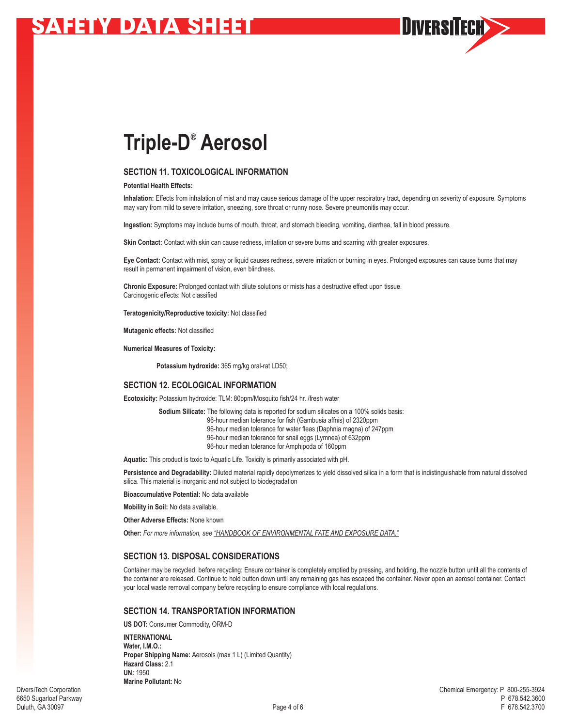

# **Triple-D® Aerosol**

## **SECTION 11. TOXICOLOGICAL INFORMATION**

**Potential Health Effects:**

**Inhalation:** Effects from inhalation of mist and may cause serious damage of the upper respiratory tract, depending on severity of exposure. Symptoms may vary from mild to severe irritation, sneezing, sore throat or runny nose. Severe pneumonitis may occur.

**Ingestion:** Symptoms may include burns of mouth, throat, and stomach bleeding, vomiting, diarrhea, fall in blood pressure.

**Skin Contact:** Contact with skin can cause redness, irritation or severe burns and scarring with greater exposures.

**Eye Contact:** Contact with mist, spray or liquid causes redness, severe irritation or burning in eyes. Prolonged exposures can cause burns that may result in permanent impairment of vision, even blindness.

**Chronic Exposure:** Prolonged contact with dilute solutions or mists has a destructive effect upon tissue. Carcinogenic effects: Not classified

**Teratogenicity/Reproductive toxicity:** Not classified

**Mutagenic effects:** Not classified

**Numerical Measures of Toxicity:**

**Potassium hydroxide:** 365 mg/kg oral-rat LD50;

### **SECTION 12. ECOLOGICAL INFORMATION**

**Ecotoxicity:** Potassium hydroxide: TLM: 80ppm/Mosquito fish/24 hr. /fresh water

 **Sodium Silicate:** The following data is reported for sodium silicates on a 100% solids basis:

96-hour median tolerance for fish (Gambusia affnis) of 2320ppm 96-hour median tolerance for water fleas (Daphnia magna) of 247ppm

96-hour median tolerance for snail eggs (Lymnea) of 632ppm

96-hour median tolerance for Amphipoda of 160ppm

**Aquatic:** This product is toxic to Aquatic Life. Toxicity is primarily associated with pH.

Persistence and Degradability: Diluted material rapidly depolymerizes to yield dissolved silica in a form that is indistinguishable from natural dissolved silica. This material is inorganic and not subject to biodegradation

**Bioaccumulative Potential:** No data available

**Mobility in Soil:** No data available.

**Other Adverse Effects:** None known

**Other:** *For more information, see "HANDBOOK OF ENVIRONMENTAL FATE AND EXPOSURE DATA."*

### **SECTION 13. DISPOSAL CONSIDERATIONS**

Container may be recycled. before recycling: Ensure container is completely emptied by pressing, and holding, the nozzle button until all the contents of the container are released. Continue to hold button down until any remaining gas has escaped the container. Never open an aerosol container. Contact your local waste removal company before recycling to ensure compliance with local regulations.

### **SECTION 14. TRANSPORTATION INFORMATION**

**US DOT:** Consumer Commodity, ORM-D

**INTERNATIONAL Water, I.M.O.: Proper Shipping Name:** Aerosols (max 1 L) (Limited Quantity) **Hazard Class:** 2.1 **UN:** 1950 **Marine Pollutant:** No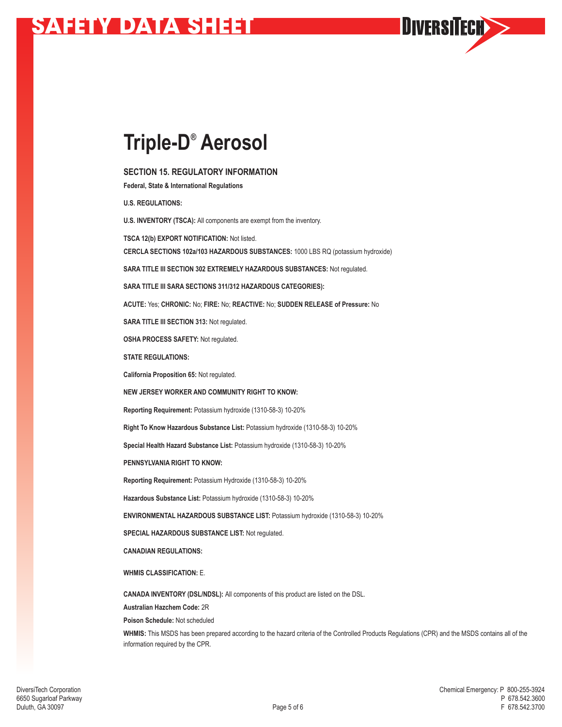# **Triple-D® Aerosol**

## **SECTION 15. REGULATORY INFORMATION**

**Federal, State & International Regulations**

**U.S. REGULATIONS:**

**U.S. INVENTORY (TSCA):** All components are exempt from the inventory. **TSCA 12(b) EXPORT NOTIFICATION:** Not listed. **CERCLA SECTIONS 102a/103 HAZARDOUS SUBSTANCES:** 1000 LBS RQ (potassium hydroxide) **SARA TITLE III SECTION 302 EXTREMELY HAZARDOUS SUBSTANCES:** Not regulated. **SARA TITLE III SARA SECTIONS 311/312 HAZARDOUS CATEGORIES): ACUTE:** Yes; **CHRONIC:** No; **FIRE:** No; **REACTIVE:** No; **SUDDEN RELEASE of Pressure:** No **SARA TITLE III SECTION 313: Not regulated. OSHA PROCESS SAFETY:** Not regulated. **STATE REGULATIONS: California Proposition 65:** Not regulated. **NEW JERSEY WORKER AND COMMUNITY RIGHT TO KNOW: Reporting Requirement:** Potassium hydroxide (1310-58-3) 10-20% **Right To Know Hazardous Substance List:** Potassium hydroxide (1310-58-3) 10-20% **Special Health Hazard Substance List:** Potassium hydroxide (1310-58-3) 10-20% **PENNSYLVANIA RIGHT TO KNOW: Reporting Requirement:** Potassium Hydroxide (1310-58-3) 10-20% **Hazardous Substance List:** Potassium hydroxide (1310-58-3) 10-20% **ENVIRONMENTAL HAZARDOUS SUBSTANCE LIST:** Potassium hydroxide (1310-58-3) 10-20% **SPECIAL HAZARDOUS SUBSTANCE LIST:** Not regulated. **CANADIAN REGULATIONS: WHMIS CLASSIFICATION:** E. **CANADA INVENTORY (DSL/NDSL):** All components of this product are listed on the DSL.

**Australian Hazchem Code:** 2R

**Poison Schedule:** Not scheduled

**WHMIS:** This MSDS has been prepared according to the hazard criteria of the Controlled Products Regulations (CPR) and the MSDS contains all of the information required by the CPR.

DIVERSITECH